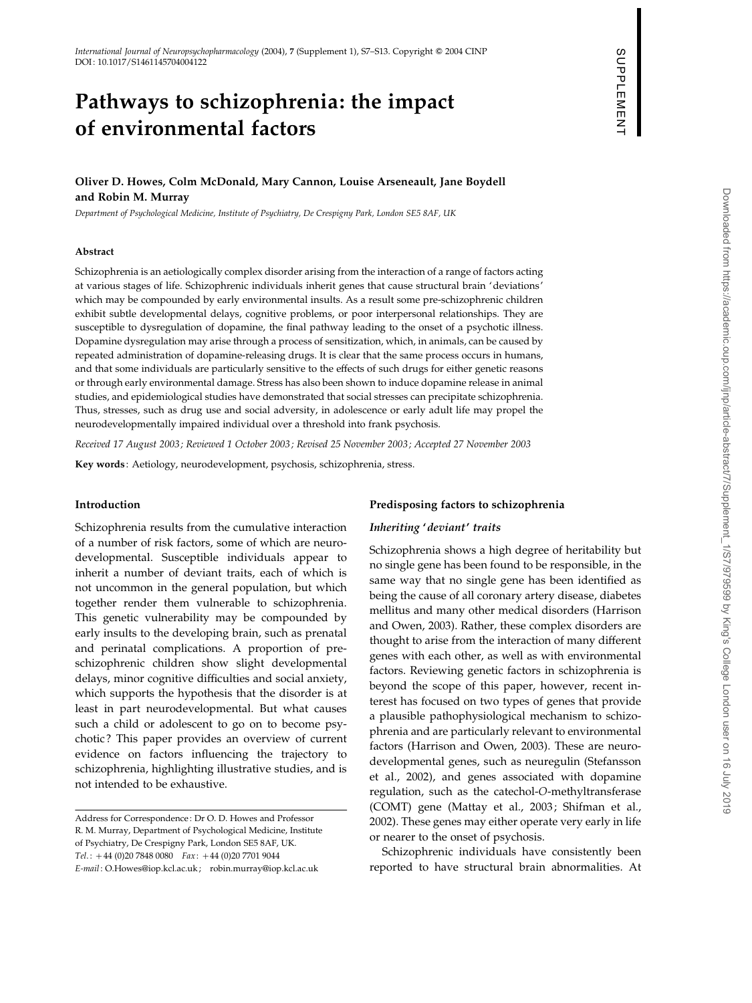# Pathways to schizophrenia: the impact of environmental factors

# Oliver D. Howes, Colm McDonald, Mary Cannon, Louise Arseneault, Jane Boydell and Robin M. Murray

Department of Psychological Medicine, Institute of Psychiatry, De Crespigny Park, London SE5 8AF, UK

#### Abstract

Schizophrenia is an aetiologically complex disorder arising from the interaction of a range of factors acting at various stages of life. Schizophrenic individuals inherit genes that cause structural brain 'deviations' which may be compounded by early environmental insults. As a result some pre-schizophrenic children exhibit subtle developmental delays, cognitive problems, or poor interpersonal relationships. They are susceptible to dysregulation of dopamine, the final pathway leading to the onset of a psychotic illness. Dopamine dysregulation may arise through a process of sensitization, which, in animals, can be caused by repeated administration of dopamine-releasing drugs. It is clear that the same process occurs in humans, and that some individuals are particularly sensitive to the effects of such drugs for either genetic reasons or through early environmental damage. Stress has also been shown to induce dopamine release in animal studies, and epidemiological studies have demonstrated that social stresses can precipitate schizophrenia. Thus, stresses, such as drug use and social adversity, in adolescence or early adult life may propel the neurodevelopmentally impaired individual over a threshold into frank psychosis.

Received 17 August 2003; Reviewed 1 October 2003; Revised 25 November 2003; Accepted 27 November 2003

Key words : Aetiology, neurodevelopment, psychosis, schizophrenia, stress.

## Introduction

Schizophrenia results from the cumulative interaction of a number of risk factors, some of which are neurodevelopmental. Susceptible individuals appear to inherit a number of deviant traits, each of which is not uncommon in the general population, but which together render them vulnerable to schizophrenia. This genetic vulnerability may be compounded by early insults to the developing brain, such as prenatal and perinatal complications. A proportion of preschizophrenic children show slight developmental delays, minor cognitive difficulties and social anxiety, which supports the hypothesis that the disorder is at least in part neurodevelopmental. But what causes such a child or adolescent to go on to become psychotic ? This paper provides an overview of current evidence on factors influencing the trajectory to schizophrenia, highlighting illustrative studies, and is not intended to be exhaustive.

#### Predisposing factors to schizophrenia

#### Inheriting 'deviant' traits

Schizophrenia shows a high degree of heritability but no single gene has been found to be responsible, in the same way that no single gene has been identified as being the cause of all coronary artery disease, diabetes mellitus and many other medical disorders (Harrison and Owen, 2003). Rather, these complex disorders are thought to arise from the interaction of many different genes with each other, as well as with environmental factors. Reviewing genetic factors in schizophrenia is beyond the scope of this paper, however, recent interest has focused on two types of genes that provide a plausible pathophysiological mechanism to schizophrenia and are particularly relevant to environmental factors (Harrison and Owen, 2003). These are neurodevelopmental genes, such as neuregulin (Stefansson et al., 2002), and genes associated with dopamine regulation, such as the catechol-O-methyltransferase (COMT) gene (Mattay et al., 2003; Shifman et al., 2002). These genes may either operate very early in life or nearer to the onset of psychosis.

Schizophrenic individuals have consistently been reported to have structural brain abnormalities. At Downloaded from https://academic.oup.com/ijnp/article-abstract/7/Supplement\_1/S7/979599 by King's College London user on 16 July 2019

SUPPLEMENT

SUPPLEMENT

Address for Correspondence : Dr O. D. Howes and Professor R. M. Murray, Department of Psychological Medicine, Institute of Psychiatry, De Crespigny Park, London SE5 8AF, UK.  $Tel.: +44 (0)20 7848 0080$   $Fax.: +44 (0)20 7701 9044$ E-mail : O.Howes@iop.kcl.ac.uk ; robin.murray@iop.kcl.ac.uk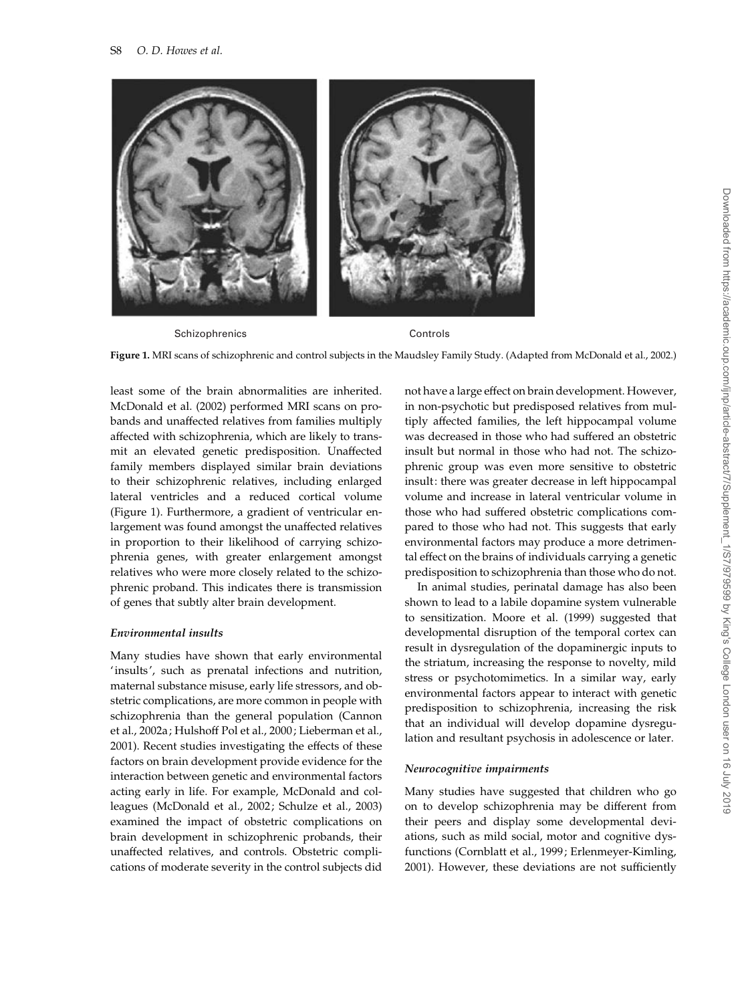

Schizophrenics Controls

Figure 1. MRI scans of schizophrenic and control subjects in the Maudsley Family Study. (Adapted from McDonald et al., 2002.)

least some of the brain abnormalities are inherited. McDonald et al. (2002) performed MRI scans on probands and unaffected relatives from families multiply affected with schizophrenia, which are likely to transmit an elevated genetic predisposition. Unaffected family members displayed similar brain deviations to their schizophrenic relatives, including enlarged lateral ventricles and a reduced cortical volume (Figure 1). Furthermore, a gradient of ventricular enlargement was found amongst the unaffected relatives in proportion to their likelihood of carrying schizophrenia genes, with greater enlargement amongst relatives who were more closely related to the schizophrenic proband. This indicates there is transmission of genes that subtly alter brain development.

## Environmental insults

Many studies have shown that early environmental 'insults', such as prenatal infections and nutrition, maternal substance misuse, early life stressors, and obstetric complications, are more common in people with schizophrenia than the general population (Cannon et al., 2002a; Hulshoff Pol et al., 2000; Lieberman et al., 2001). Recent studies investigating the effects of these factors on brain development provide evidence for the interaction between genetic and environmental factors acting early in life. For example, McDonald and colleagues (McDonald et al., 2002; Schulze et al., 2003) examined the impact of obstetric complications on brain development in schizophrenic probands, their unaffected relatives, and controls. Obstetric complications of moderate severity in the control subjects did

not have a large effect on brain development. However, in non-psychotic but predisposed relatives from multiply affected families, the left hippocampal volume was decreased in those who had suffered an obstetric insult but normal in those who had not. The schizophrenic group was even more sensitive to obstetric insult: there was greater decrease in left hippocampal volume and increase in lateral ventricular volume in those who had suffered obstetric complications compared to those who had not. This suggests that early environmental factors may produce a more detrimental effect on the brains of individuals carrying a genetic predisposition to schizophrenia than those who do not.

In animal studies, perinatal damage has also been shown to lead to a labile dopamine system vulnerable to sensitization. Moore et al. (1999) suggested that developmental disruption of the temporal cortex can result in dysregulation of the dopaminergic inputs to the striatum, increasing the response to novelty, mild stress or psychotomimetics. In a similar way, early environmental factors appear to interact with genetic predisposition to schizophrenia, increasing the risk that an individual will develop dopamine dysregulation and resultant psychosis in adolescence or later.

# Neurocognitive impairments

Many studies have suggested that children who go on to develop schizophrenia may be different from their peers and display some developmental deviations, such as mild social, motor and cognitive dysfunctions (Cornblatt et al., 1999; Erlenmeyer-Kimling, 2001). However, these deviations are not sufficiently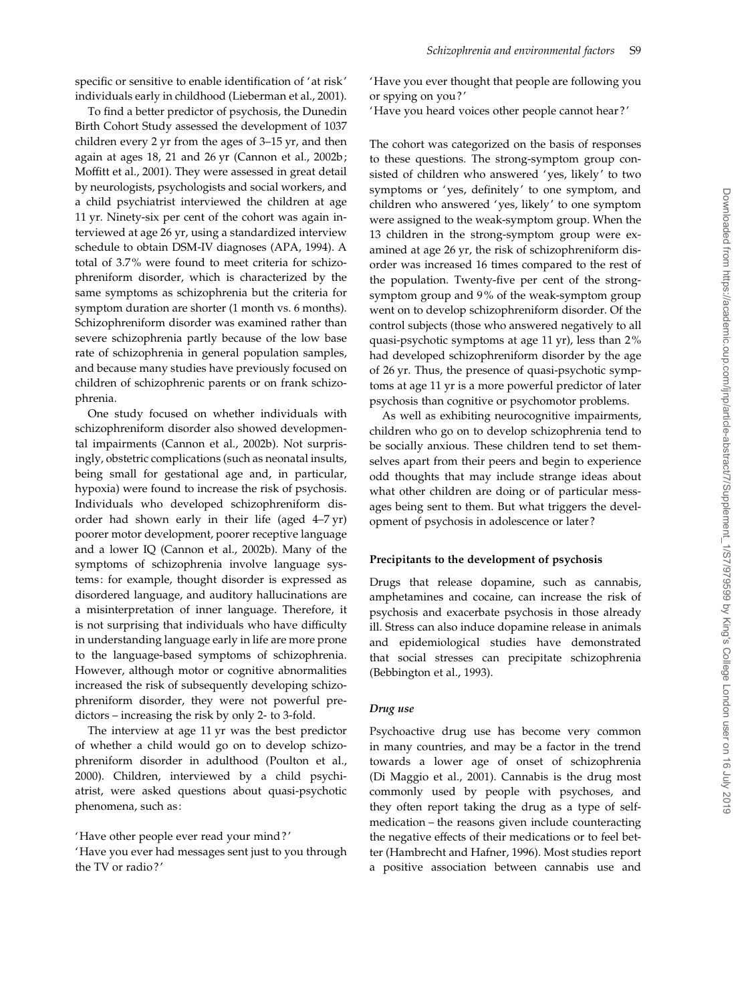Schizophrenia and environmental factors S9

specific or sensitive to enable identification of 'at risk' individuals early in childhood (Lieberman et al., 2001).

To find a better predictor of psychosis, the Dunedin Birth Cohort Study assessed the development of 1037 children every 2 yr from the ages of 3–15 yr, and then again at ages 18, 21 and 26 yr (Cannon et al., 2002b; Moffitt et al., 2001). They were assessed in great detail by neurologists, psychologists and social workers, and a child psychiatrist interviewed the children at age 11 yr. Ninety-six per cent of the cohort was again interviewed at age 26 yr, using a standardized interview schedule to obtain DSM-IV diagnoses (APA, 1994). A total of 3.7% were found to meet criteria for schizophreniform disorder, which is characterized by the same symptoms as schizophrenia but the criteria for symptom duration are shorter (1 month vs. 6 months). Schizophreniform disorder was examined rather than severe schizophrenia partly because of the low base rate of schizophrenia in general population samples, and because many studies have previously focused on children of schizophrenic parents or on frank schizophrenia.

One study focused on whether individuals with schizophreniform disorder also showed developmental impairments (Cannon et al., 2002b). Not surprisingly, obstetric complications (such as neonatal insults, being small for gestational age and, in particular, hypoxia) were found to increase the risk of psychosis. Individuals who developed schizophreniform disorder had shown early in their life (aged 4–7 yr) poorer motor development, poorer receptive language and a lower IQ (Cannon et al., 2002b). Many of the symptoms of schizophrenia involve language systems: for example, thought disorder is expressed as disordered language, and auditory hallucinations are a misinterpretation of inner language. Therefore, it is not surprising that individuals who have difficulty in understanding language early in life are more prone to the language-based symptoms of schizophrenia. However, although motor or cognitive abnormalities increased the risk of subsequently developing schizophreniform disorder, they were not powerful predictors – increasing the risk by only 2- to 3-fold.

The interview at age 11 yr was the best predictor of whether a child would go on to develop schizophreniform disorder in adulthood (Poulton et al., 2000). Children, interviewed by a child psychiatrist, were asked questions about quasi-psychotic phenomena, such as:

'Have you ever had messages sent just to you through the TV or radio ?'

'Have you ever thought that people are following you or spying on you?'

'Have you heard voices other people cannot hear?'

The cohort was categorized on the basis of responses to these questions. The strong-symptom group consisted of children who answered 'yes, likely' to two symptoms or 'yes, definitely' to one symptom, and children who answered 'yes, likely' to one symptom were assigned to the weak-symptom group. When the 13 children in the strong-symptom group were examined at age 26 yr, the risk of schizophreniform disorder was increased 16 times compared to the rest of the population. Twenty-five per cent of the strongsymptom group and 9% of the weak-symptom group went on to develop schizophreniform disorder. Of the control subjects (those who answered negatively to all quasi-psychotic symptoms at age 11 yr), less than 2% had developed schizophreniform disorder by the age of 26 yr. Thus, the presence of quasi-psychotic symptoms at age 11 yr is a more powerful predictor of later psychosis than cognitive or psychomotor problems.

As well as exhibiting neurocognitive impairments, children who go on to develop schizophrenia tend to be socially anxious. These children tend to set themselves apart from their peers and begin to experience odd thoughts that may include strange ideas about what other children are doing or of particular messages being sent to them. But what triggers the development of psychosis in adolescence or later ?

#### Precipitants to the development of psychosis

Drugs that release dopamine, such as cannabis, amphetamines and cocaine, can increase the risk of psychosis and exacerbate psychosis in those already ill. Stress can also induce dopamine release in animals and epidemiological studies have demonstrated that social stresses can precipitate schizophrenia (Bebbington et al., 1993).

# Drug use

Psychoactive drug use has become very common in many countries, and may be a factor in the trend towards a lower age of onset of schizophrenia (Di Maggio et al., 2001). Cannabis is the drug most commonly used by people with psychoses, and they often report taking the drug as a type of selfmedication – the reasons given include counteracting the negative effects of their medications or to feel better (Hambrecht and Hafner, 1996). Most studies report a positive association between cannabis use and

<sup>&#</sup>x27;Have other people ever read your mind ?'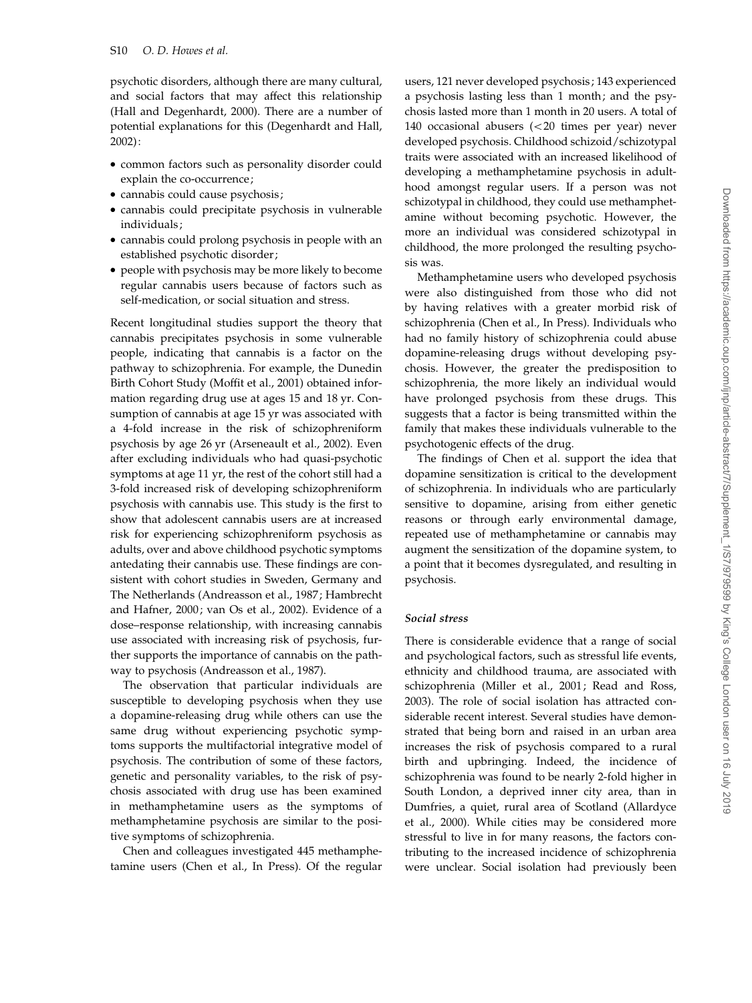psychotic disorders, although there are many cultural, and social factors that may affect this relationship (Hall and Degenhardt, 2000). There are a number of potential explanations for this (Degenhardt and Hall, 2002):

- $\bullet$  common factors such as personality disorder could explain the co-occurrence;
- cannabis could cause psychosis;
- cannabis could precipitate psychosis in vulnerable individuals;
- cannabis could prolong psychosis in people with an established psychotic disorder;
- people with psychosis may be more likely to become regular cannabis users because of factors such as self-medication, or social situation and stress.

Recent longitudinal studies support the theory that cannabis precipitates psychosis in some vulnerable people, indicating that cannabis is a factor on the pathway to schizophrenia. For example, the Dunedin Birth Cohort Study (Moffit et al., 2001) obtained information regarding drug use at ages 15 and 18 yr. Consumption of cannabis at age 15 yr was associated with a 4-fold increase in the risk of schizophreniform psychosis by age 26 yr (Arseneault et al., 2002). Even after excluding individuals who had quasi-psychotic symptoms at age 11 yr, the rest of the cohort still had a 3-fold increased risk of developing schizophreniform psychosis with cannabis use. This study is the first to show that adolescent cannabis users are at increased risk for experiencing schizophreniform psychosis as adults, over and above childhood psychotic symptoms antedating their cannabis use. These findings are consistent with cohort studies in Sweden, Germany and The Netherlands (Andreasson et al., 1987; Hambrecht and Hafner, 2000; van Os et al., 2002). Evidence of a dose–response relationship, with increasing cannabis use associated with increasing risk of psychosis, further supports the importance of cannabis on the pathway to psychosis (Andreasson et al., 1987).

The observation that particular individuals are susceptible to developing psychosis when they use a dopamine-releasing drug while others can use the same drug without experiencing psychotic symptoms supports the multifactorial integrative model of psychosis. The contribution of some of these factors, genetic and personality variables, to the risk of psychosis associated with drug use has been examined in methamphetamine users as the symptoms of methamphetamine psychosis are similar to the positive symptoms of schizophrenia.

Chen and colleagues investigated 445 methamphetamine users (Chen et al., In Press). Of the regular users, 121 never developed psychosis; 143 experienced a psychosis lasting less than 1 month; and the psychosis lasted more than 1 month in 20 users. A total of 140 occasional abusers (<20 times per year) never developed psychosis. Childhood schizoid/schizotypal traits were associated with an increased likelihood of developing a methamphetamine psychosis in adulthood amongst regular users. If a person was not schizotypal in childhood, they could use methamphetamine without becoming psychotic. However, the more an individual was considered schizotypal in childhood, the more prolonged the resulting psychosis was.

Methamphetamine users who developed psychosis were also distinguished from those who did not by having relatives with a greater morbid risk of schizophrenia (Chen et al., In Press). Individuals who had no family history of schizophrenia could abuse dopamine-releasing drugs without developing psychosis. However, the greater the predisposition to schizophrenia, the more likely an individual would have prolonged psychosis from these drugs. This suggests that a factor is being transmitted within the family that makes these individuals vulnerable to the psychotogenic effects of the drug.

The findings of Chen et al. support the idea that dopamine sensitization is critical to the development of schizophrenia. In individuals who are particularly sensitive to dopamine, arising from either genetic reasons or through early environmental damage, repeated use of methamphetamine or cannabis may augment the sensitization of the dopamine system, to a point that it becomes dysregulated, and resulting in psychosis.

# Social stress

There is considerable evidence that a range of social and psychological factors, such as stressful life events, ethnicity and childhood trauma, are associated with schizophrenia (Miller et al., 2001; Read and Ross, 2003). The role of social isolation has attracted considerable recent interest. Several studies have demonstrated that being born and raised in an urban area increases the risk of psychosis compared to a rural birth and upbringing. Indeed, the incidence of schizophrenia was found to be nearly 2-fold higher in South London, a deprived inner city area, than in Dumfries, a quiet, rural area of Scotland (Allardyce et al., 2000). While cities may be considered more stressful to live in for many reasons, the factors contributing to the increased incidence of schizophrenia were unclear. Social isolation had previously been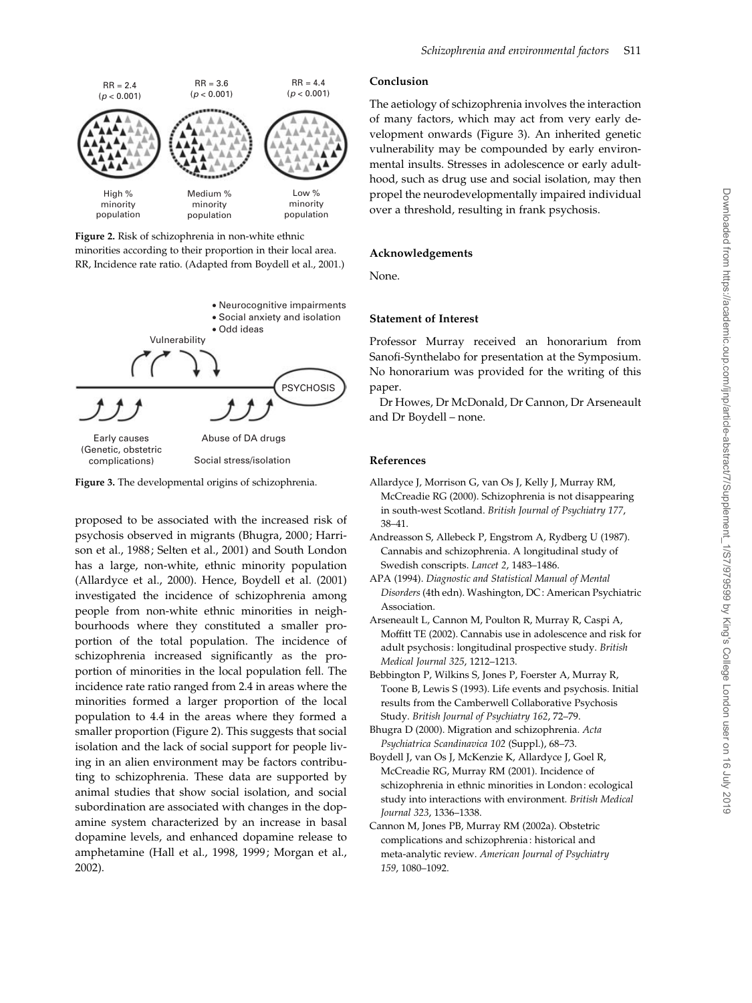

Figure 2. Risk of schizophrenia in non-white ethnic minorities according to their proportion in their local area. RR, Incidence rate ratio. (Adapted from Boydell et al., 2001.)



Figure 3. The developmental origins of schizophrenia.

proposed to be associated with the increased risk of psychosis observed in migrants (Bhugra, 2000; Harrison et al., 1988; Selten et al., 2001) and South London has a large, non-white, ethnic minority population (Allardyce et al., 2000). Hence, Boydell et al. (2001) investigated the incidence of schizophrenia among people from non-white ethnic minorities in neighbourhoods where they constituted a smaller proportion of the total population. The incidence of schizophrenia increased significantly as the proportion of minorities in the local population fell. The incidence rate ratio ranged from 2.4 in areas where the minorities formed a larger proportion of the local population to 4.4 in the areas where they formed a smaller proportion (Figure 2). This suggests that social isolation and the lack of social support for people living in an alien environment may be factors contributing to schizophrenia. These data are supported by animal studies that show social isolation, and social subordination are associated with changes in the dopamine system characterized by an increase in basal dopamine levels, and enhanced dopamine release to amphetamine (Hall et al., 1998, 1999; Morgan et al., 2002).

#### Conclusion

The aetiology of schizophrenia involves the interaction of many factors, which may act from very early development onwards (Figure 3). An inherited genetic vulnerability may be compounded by early environmental insults. Stresses in adolescence or early adulthood, such as drug use and social isolation, may then propel the neurodevelopmentally impaired individual over a threshold, resulting in frank psychosis.

### Acknowledgements

None.

# Statement of Interest

Professor Murray received an honorarium from Sanofi-Synthelabo for presentation at the Symposium. No honorarium was provided for the writing of this paper.

Dr Howes, Dr McDonald, Dr Cannon, Dr Arseneault and Dr Boydell – none.

#### References

- Allardyce J, Morrison G, van Os J, Kelly J, Murray RM, McCreadie RG (2000). Schizophrenia is not disappearing in south-west Scotland. British Journal of Psychiatry 177, 38–41.
- Andreasson S, Allebeck P, Engstrom A, Rydberg U (1987). Cannabis and schizophrenia. A longitudinal study of Swedish conscripts. Lancet 2, 1483–1486.
- APA (1994). Diagnostic and Statistical Manual of Mental Disorders (4th edn). Washington, DC: American Psychiatric Association.
- Arseneault L, Cannon M, Poulton R, Murray R, Caspi A, Moffitt TE (2002). Cannabis use in adolescence and risk for adult psychosis: longitudinal prospective study. British Medical Journal 325, 1212–1213.
- Bebbington P, Wilkins S, Jones P, Foerster A, Murray R, Toone B, Lewis S (1993). Life events and psychosis. Initial results from the Camberwell Collaborative Psychosis Study. British Journal of Psychiatry 162, 72–79.
- Bhugra D (2000). Migration and schizophrenia. Acta Psychiatrica Scandinavica 102 (Suppl.), 68–73.
- Boydell J, van Os J, McKenzie K, Allardyce J, Goel R, McCreadie RG, Murray RM (2001). Incidence of schizophrenia in ethnic minorities in London: ecological study into interactions with environment. British Medical Journal 323, 1336–1338.
- Cannon M, Jones PB, Murray RM (2002a). Obstetric complications and schizophrenia: historical and meta-analytic review. American Journal of Psychiatry 159, 1080–1092.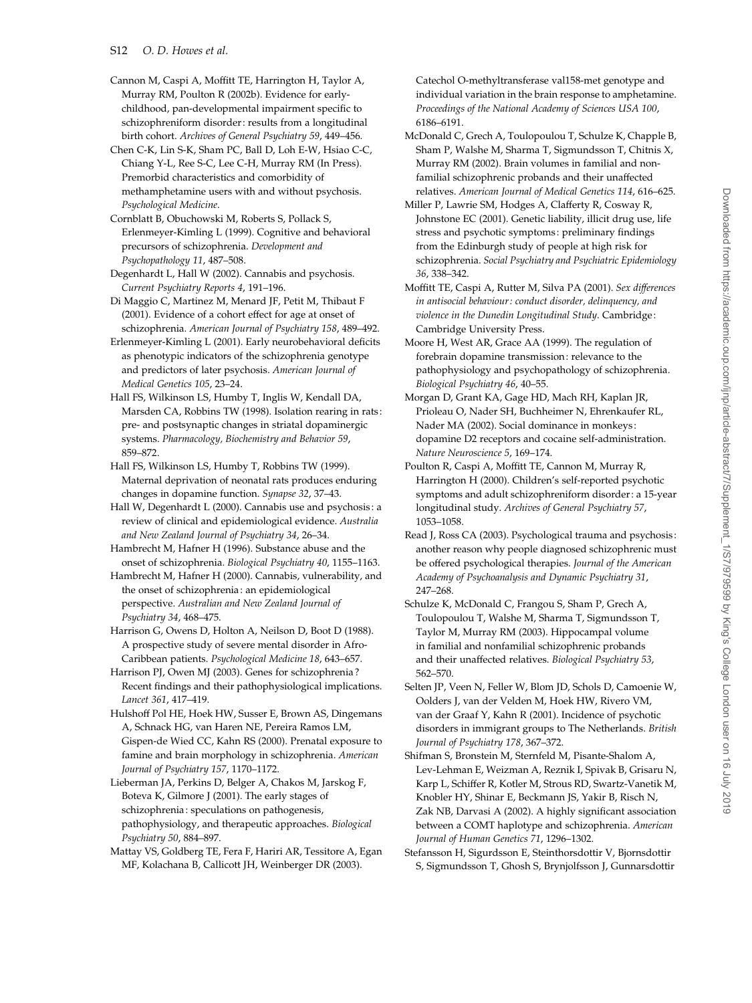Cannon M, Caspi A, Moffitt TE, Harrington H, Taylor A, Murray RM, Poulton R (2002b). Evidence for earlychildhood, pan-developmental impairment specific to schizophreniform disorder: results from a longitudinal birth cohort. Archives of General Psychiatry 59, 449–456.

Chen C-K, Lin S-K, Sham PC, Ball D, Loh E-W, Hsiao C-C, Chiang Y-L, Ree S-C, Lee C-H, Murray RM (In Press). Premorbid characteristics and comorbidity of methamphetamine users with and without psychosis. Psychological Medicine.

Cornblatt B, Obuchowski M, Roberts S, Pollack S, Erlenmeyer-Kimling L (1999). Cognitive and behavioral precursors of schizophrenia. Development and Psychopathology 11, 487–508.

Degenhardt L, Hall W (2002). Cannabis and psychosis. Current Psychiatry Reports 4, 191–196.

Di Maggio C, Martinez M, Menard JF, Petit M, Thibaut F (2001). Evidence of a cohort effect for age at onset of schizophrenia. American Journal of Psychiatry 158, 489–492.

Erlenmeyer-Kimling L (2001). Early neurobehavioral deficits as phenotypic indicators of the schizophrenia genotype and predictors of later psychosis. American Journal of Medical Genetics 105, 23–24.

Hall FS, Wilkinson LS, Humby T, Inglis W, Kendall DA, Marsden CA, Robbins TW (1998). Isolation rearing in rats: pre- and postsynaptic changes in striatal dopaminergic systems. Pharmacology, Biochemistry and Behavior 59, 859–872.

Hall FS, Wilkinson LS, Humby T, Robbins TW (1999). Maternal deprivation of neonatal rats produces enduring changes in dopamine function. Synapse 32, 37–43.

Hall W, Degenhardt L (2000). Cannabis use and psychosis: a review of clinical and epidemiological evidence. Australia and New Zealand Journal of Psychiatry 34, 26–34.

Hambrecht M, Hafner H (1996). Substance abuse and the onset of schizophrenia. Biological Psychiatry 40, 1155–1163.

Hambrecht M, Hafner H (2000). Cannabis, vulnerability, and the onset of schizophrenia : an epidemiological perspective. Australian and New Zealand Journal of Psychiatry 34, 468–475.

Harrison G, Owens D, Holton A, Neilson D, Boot D (1988). A prospective study of severe mental disorder in Afro-Caribbean patients. Psychological Medicine 18, 643–657.

Harrison PJ, Owen MJ (2003). Genes for schizophrenia? Recent findings and their pathophysiological implications. Lancet 361, 417–419.

Hulshoff Pol HE, Hoek HW, Susser E, Brown AS, Dingemans A, Schnack HG, van Haren NE, Pereira Ramos LM, Gispen-de Wied CC, Kahn RS (2000). Prenatal exposure to famine and brain morphology in schizophrenia. American Journal of Psychiatry 157, 1170–1172.

Lieberman JA, Perkins D, Belger A, Chakos M, Jarskog F, Boteva K, Gilmore J (2001). The early stages of schizophrenia : speculations on pathogenesis, pathophysiology, and therapeutic approaches. Biological Psychiatry 50, 884–897.

Mattay VS, Goldberg TE, Fera F, Hariri AR, Tessitore A, Egan MF, Kolachana B, Callicott JH, Weinberger DR (2003).

Catechol O-methyltransferase val158-met genotype and individual variation in the brain response to amphetamine. Proceedings of the National Academy of Sciences USA 100, 6186–6191.

McDonald C, Grech A, Toulopoulou T, Schulze K, Chapple B, Sham P, Walshe M, Sharma T, Sigmundsson T, Chitnis X, Murray RM (2002). Brain volumes in familial and nonfamilial schizophrenic probands and their unaffected relatives. American Journal of Medical Genetics 114, 616–625.

Miller P, Lawrie SM, Hodges A, Clafferty R, Cosway R, Johnstone EC (2001). Genetic liability, illicit drug use, life stress and psychotic symptoms: preliminary findings from the Edinburgh study of people at high risk for schizophrenia. Social Psychiatry and Psychiatric Epidemiology 36, 338–342.

Moffitt TE, Caspi A, Rutter M, Silva PA (2001). Sex differences in antisocial behaviour: conduct disorder, delinquency, and violence in the Dunedin Longitudinal Study. Cambridge: Cambridge University Press.

Moore H, West AR, Grace AA (1999). The regulation of forebrain dopamine transmission: relevance to the pathophysiology and psychopathology of schizophrenia. Biological Psychiatry 46, 40–55.

Morgan D, Grant KA, Gage HD, Mach RH, Kaplan JR, Prioleau O, Nader SH, Buchheimer N, Ehrenkaufer RL, Nader MA (2002). Social dominance in monkeys: dopamine D2 receptors and cocaine self-administration. Nature Neuroscience 5, 169–174.

Poulton R, Caspi A, Moffitt TE, Cannon M, Murray R, Harrington H (2000). Children's self-reported psychotic symptoms and adult schizophreniform disorder: a 15-year longitudinal study. Archives of General Psychiatry 57, 1053–1058.

Read J, Ross CA (2003). Psychological trauma and psychosis: another reason why people diagnosed schizophrenic must be offered psychological therapies. Journal of the American Academy of Psychoanalysis and Dynamic Psychiatry 31, 247–268.

Schulze K, McDonald C, Frangou S, Sham P, Grech A, Toulopoulou T, Walshe M, Sharma T, Sigmundsson T, Taylor M, Murray RM (2003). Hippocampal volume in familial and nonfamilial schizophrenic probands and their unaffected relatives. Biological Psychiatry 53, 562–570.

Selten JP, Veen N, Feller W, Blom JD, Schols D, Camoenie W, Oolders J, van der Velden M, Hoek HW, Rivero VM, van der Graaf Y, Kahn R (2001). Incidence of psychotic disorders in immigrant groups to The Netherlands. British Journal of Psychiatry 178, 367–372.

Shifman S, Bronstein M, Sternfeld M, Pisante-Shalom A, Lev-Lehman E, Weizman A, Reznik I, Spivak B, Grisaru N, Karp L, Schiffer R, Kotler M, Strous RD, Swartz-Vanetik M, Knobler HY, Shinar E, Beckmann JS, Yakir B, Risch N, Zak NB, Darvasi A (2002). A highly significant association between a COMT haplotype and schizophrenia. American Journal of Human Genetics 71, 1296–1302.

Stefansson H, Sigurdsson E, Steinthorsdottir V, Bjornsdottir S, Sigmundsson T, Ghosh S, Brynjolfsson J, Gunnarsdottir